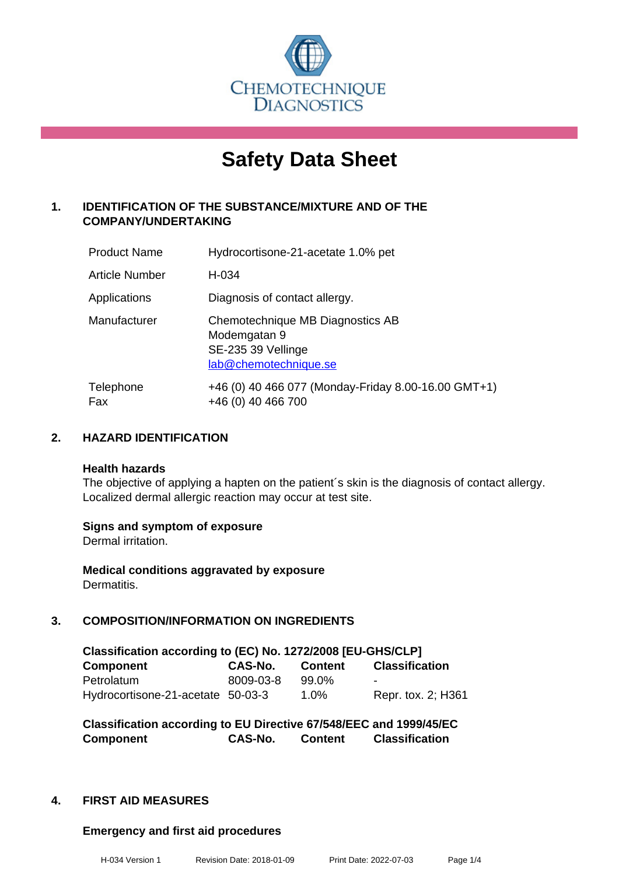

# **Safety Data Sheet**

### **1. IDENTIFICATION OF THE SUBSTANCE/MIXTURE AND OF THE COMPANY/UNDERTAKING**

| <b>Product Name</b>   | Hydrocortisone-21-acetate 1.0% pet                                                              |
|-----------------------|-------------------------------------------------------------------------------------------------|
| <b>Article Number</b> | H-034                                                                                           |
| Applications          | Diagnosis of contact allergy.                                                                   |
| Manufacturer          | Chemotechnique MB Diagnostics AB<br>Modemgatan 9<br>SE-235 39 Vellinge<br>lab@chemotechnique.se |
| Telephone<br>Fax      | +46 (0) 40 466 077 (Monday-Friday 8.00-16.00 GMT+1)<br>+46 (0) 40 466 700                       |

### **2. HAZARD IDENTIFICATION**

#### **Health hazards**

The objective of applying a hapten on the patient's skin is the diagnosis of contact allergy. Localized dermal allergic reaction may occur at test site.

### **Signs and symptom of exposure**

Dermal irritation.

**Medical conditions aggravated by exposure** Dermatitis.

### **3. COMPOSITION/INFORMATION ON INGREDIENTS**

| Classification according to (EC) No. 1272/2008 [EU-GHS/CLP] |                |                |                       |
|-------------------------------------------------------------|----------------|----------------|-----------------------|
| <b>Component</b>                                            | <b>CAS-No.</b> | <b>Content</b> | <b>Classification</b> |
| Petrolatum                                                  | 8009-03-8      | 99.0%          | -                     |
| Hydrocortisone-21-acetate 50-03-3                           |                | $1.0\%$        | Repr. tox. 2; H361    |

**Classification according to EU Directive 67/548/EEC and 1999/45/EC Component CAS-No. Content Classification**

### **4. FIRST AID MEASURES**

### **Emergency and first aid procedures**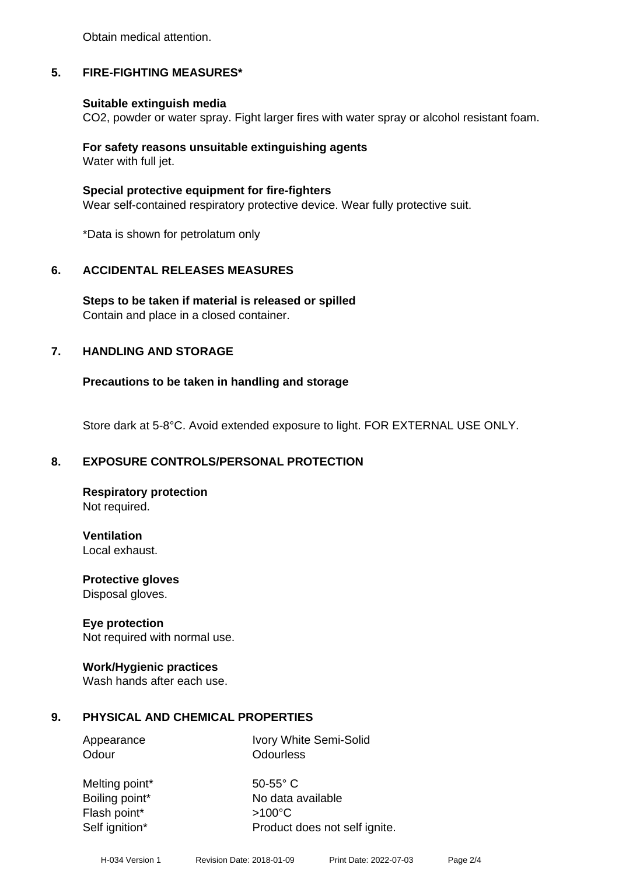Obtain medical attention.

### **5. FIRE-FIGHTING MEASURES\***

### **Suitable extinguish media**

CO2, powder or water spray. Fight larger fires with water spray or alcohol resistant foam.

## **For safety reasons unsuitable extinguishing agents**

Water with full jet.

### **Special protective equipment for fire-fighters**

Wear self-contained respiratory protective device. Wear fully protective suit.

\*Data is shown for petrolatum only

### **6. ACCIDENTAL RELEASES MEASURES**

**Steps to be taken if material is released or spilled** Contain and place in a closed container.

### **7. HANDLING AND STORAGE**

### **Precautions to be taken in handling and storage**

Store dark at 5-8°C. Avoid extended exposure to light. FOR EXTERNAL USE ONLY.

### **8. EXPOSURE CONTROLS/PERSONAL PROTECTION**

**Respiratory protection** Not required.

**Ventilation** Local exhaust.

**Protective gloves** Disposal gloves.

### **Eye protection**

Not required with normal use.

# **Work/Hygienic practices**

Wash hands after each use.

### **9. PHYSICAL AND CHEMICAL PROPERTIES**

Odour **Odourless** 

Appearance Ivory White Semi-Solid

Melting point\* 50-55° C Flash point\*  $>100^{\circ}$ C

Boiling point\* No data available Self ignition\* Product does not self ignite.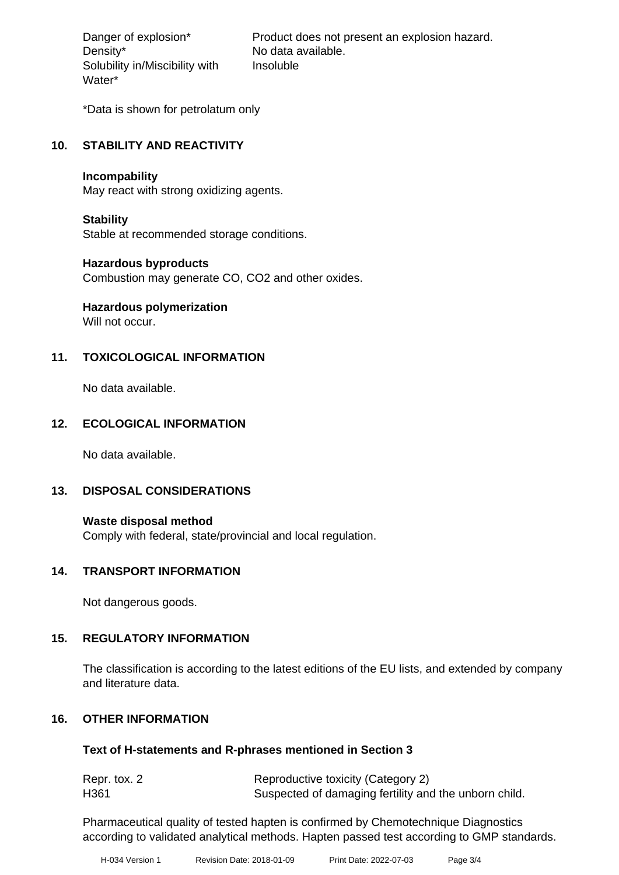Density\* No data available. Solubility in/Miscibility with Water\*

Danger of explosion\* Product does not present an explosion hazard. Insoluble

\*Data is shown for petrolatum only

### **10. STABILITY AND REACTIVITY**

### **Incompability**

May react with strong oxidizing agents.

### **Stability**

Stable at recommended storage conditions.

### **Hazardous byproducts**

Combustion may generate CO, CO2 and other oxides.

# **Hazardous polymerization**

Will not occur.

### **11. TOXICOLOGICAL INFORMATION**

No data available.

### **12. ECOLOGICAL INFORMATION**

No data available.

### **13. DISPOSAL CONSIDERATIONS**

**Waste disposal method** Comply with federal, state/provincial and local regulation.

### **14. TRANSPORT INFORMATION**

Not dangerous goods.

### **15. REGULATORY INFORMATION**

The classification is according to the latest editions of the EU lists, and extended by company and literature data.

### **16. OTHER INFORMATION**

### **Text of H-statements and R-phrases mentioned in Section 3**

| Repr. tox. 2     | Reproductive toxicity (Category 2)                    |
|------------------|-------------------------------------------------------|
| H <sub>361</sub> | Suspected of damaging fertility and the unborn child. |

Pharmaceutical quality of tested hapten is confirmed by Chemotechnique Diagnostics according to validated analytical methods. Hapten passed test according to GMP standards.